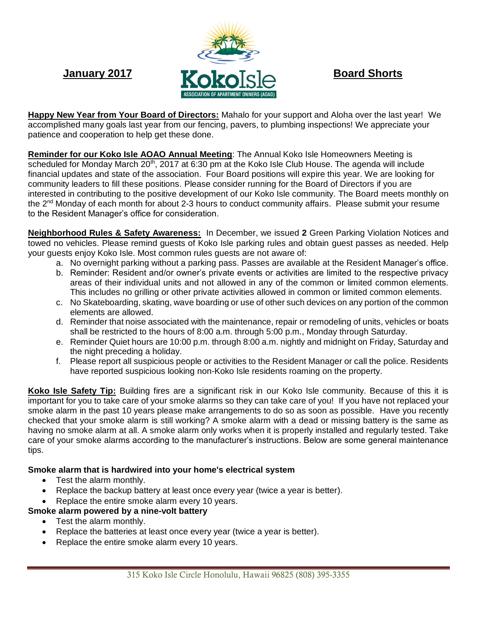

**Happy New Year from Your Board of Directors:** Mahalo for your support and Aloha over the last year! We accomplished many goals last year from our fencing, pavers, to plumbing inspections! We appreciate your patience and cooperation to help get these done.

**Reminder for our Koko Isle AOAO Annual Meeting**: The Annual Koko Isle Homeowners Meeting is scheduled for Monday March  $20<sup>th</sup>$ , 2017 at 6:30 pm at the Koko Isle Club House. The agenda will include financial updates and state of the association. Four Board positions will expire this year. We are looking for community leaders to fill these positions. Please consider running for the Board of Directors if you are interested in contributing to the positive development of our Koko Isle community. The Board meets monthly on the 2<sup>nd</sup> Monday of each month for about 2-3 hours to conduct community affairs. Please submit your resume to the Resident Manager's office for consideration.

**Neighborhood Rules & Safety Awareness:** In December, we issued **2** Green Parking Violation Notices and towed no vehicles. Please remind guests of Koko Isle parking rules and obtain guest passes as needed. Help your guests enjoy Koko Isle. Most common rules guests are not aware of:

- a. No overnight parking without a parking pass. Passes are available at the Resident Manager's office.
- b. Reminder: Resident and/or owner's private events or activities are limited to the respective privacy areas of their individual units and not allowed in any of the common or limited common elements. This includes no grilling or other private activities allowed in common or limited common elements.
- c. No Skateboarding, skating, wave boarding or use of other such devices on any portion of the common elements are allowed.
- d. Reminder that noise associated with the maintenance, repair or remodeling of units, vehicles or boats shall be restricted to the hours of 8:00 a.m. through 5:00 p.m., Monday through Saturday.
- e. Reminder Quiet hours are 10:00 p.m. through 8:00 a.m. nightly and midnight on Friday, Saturday and the night preceding a holiday.
- f. Please report all suspicious people or activities to the Resident Manager or call the police. Residents have reported suspicious looking non-Koko Isle residents roaming on the property.

**Koko Isle Safety Tip:** Building fires are a significant risk in our Koko Isle community. Because of this it is important for you to take care of your smoke alarms so they can take care of you! If you have not replaced your smoke alarm in the past 10 years please make arrangements to do so as soon as possible. Have you recently checked that your smoke alarm is still working? A smoke alarm with a dead or missing battery is the same as having no smoke alarm at all. A smoke alarm only works when it is properly installed and regularly tested. Take care of your smoke alarms according to the manufacturer's instructions. Below are some general maintenance tips.

# **Smoke alarm that is hardwired into your home's electrical system**

- Test the alarm monthly.
- Replace the backup battery at least once every year (twice a year is better).
- Replace the entire smoke alarm every 10 years.

#### **Smoke alarm powered by a nine-volt battery**

- Test the alarm monthly.
- Replace the batteries at least once every year (twice a year is better).
- Replace the entire smoke alarm every 10 years.